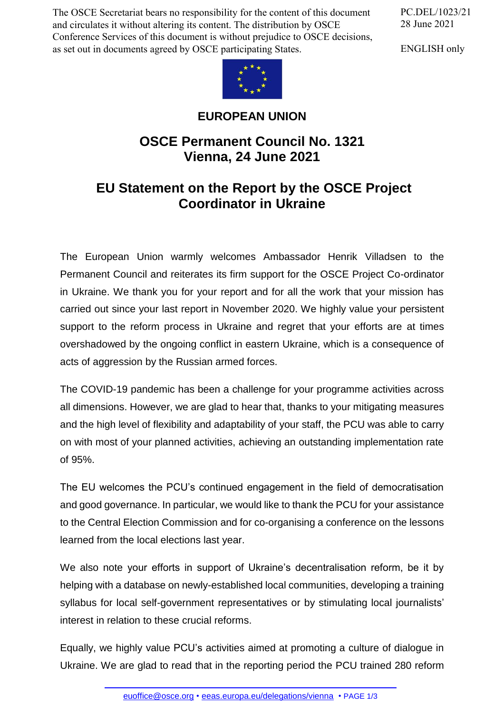The OSCE Secretariat bears no responsibility for the content of this document and circulates it without altering its content. The distribution by OSCE Conference Services of this document is without prejudice to OSCE decisions, as set out in documents agreed by OSCE participating States.

PC.DEL/1023/21 28 June 2021

ENGLISH only



## **EUROPEAN UNION**

## **OSCE Permanent Council No. 1321 Vienna, 24 June 2021**

## **EU Statement on the Report by the OSCE Project Coordinator in Ukraine**

The European Union warmly welcomes Ambassador Henrik Villadsen to the Permanent Council and reiterates its firm support for the OSCE Project Co-ordinator in Ukraine. We thank you for your report and for all the work that your mission has carried out since your last report in November 2020. We highly value your persistent support to the reform process in Ukraine and regret that your efforts are at times overshadowed by the ongoing conflict in eastern Ukraine, which is a consequence of acts of aggression by the Russian armed forces.

The COVID-19 pandemic has been a challenge for your programme activities across all dimensions. However, we are glad to hear that, thanks to your mitigating measures and the high level of flexibility and adaptability of your staff, the PCU was able to carry on with most of your planned activities, achieving an outstanding implementation rate of 95%.

The EU welcomes the PCU's continued engagement in the field of democratisation and good governance. In particular, we would like to thank the PCU for your assistance to the Central Election Commission and for co-organising a conference on the lessons learned from the local elections last year.

We also note your efforts in support of Ukraine's decentralisation reform, be it by helping with a database on newly-established local communities, developing a training syllabus for local self-government representatives or by stimulating local journalists' interest in relation to these crucial reforms.

Equally, we highly value PCU's activities aimed at promoting a culture of dialogue in Ukraine. We [are glad](mailto:euoffice@osce.org) to read t[hat in the reporting period the](http://eeas.europa.eu/delegations/vienna) PCU trained 280 reform

euoffice@osce.org • eeas.europa.eu/delegations/vienna • PAGE 1/3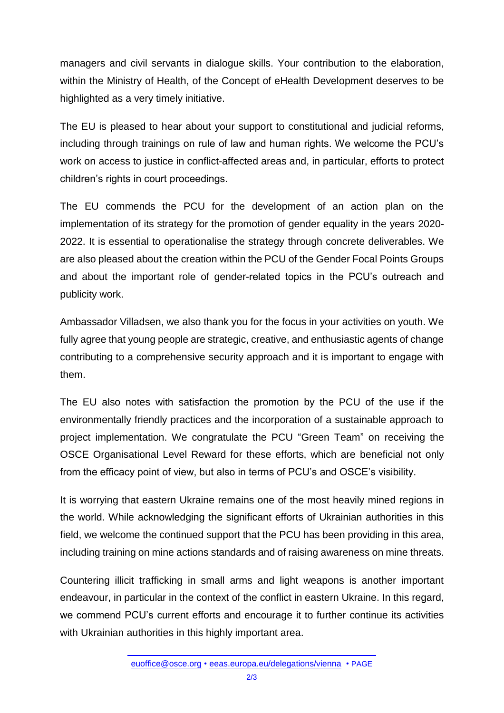managers and civil servants in dialogue skills. Your contribution to the elaboration, within the Ministry of Health, of the Concept of eHealth Development deserves to be highlighted as a very timely initiative.

The EU is pleased to hear about your support to constitutional and judicial reforms, including through trainings on rule of law and human rights. We welcome the PCU's work on access to justice in conflict-affected areas and, in particular, efforts to protect children's rights in court proceedings.

The EU commends the PCU for the development of an action plan on the implementation of its strategy for the promotion of gender equality in the years 2020- 2022. It is essential to operationalise the strategy through concrete deliverables. We are also pleased about the creation within the PCU of the Gender Focal Points Groups and about the important role of gender-related topics in the PCU's outreach and publicity work.

Ambassador Villadsen, we also thank you for the focus in your activities on youth. We fully agree that young people are strategic, creative, and enthusiastic agents of change contributing to a comprehensive security approach and it is important to engage with them.

The EU also notes with satisfaction the promotion by the PCU of the use if the environmentally friendly practices and the incorporation of a sustainable approach to project implementation. We congratulate the PCU "Green Team" on receiving the OSCE Organisational Level Reward for these efforts, which are beneficial not only from the efficacy point of view, but also in terms of PCU's and OSCE's visibility.

It is worrying that eastern Ukraine remains one of the most heavily mined regions in the world. While acknowledging the significant efforts of Ukrainian authorities in this field, we welcome the continued support that the PCU has been providing in this area, including training on mine actions standards and of raising awareness on mine threats.

Countering illicit trafficking in small arms and light weapons is another important endeavour, in particular in the context of the conflict in eastern Ukraine. In this regard, we commend PCU's current efforts and encourage it to further continue its activities with Ukrainian authorities in this highly important area.